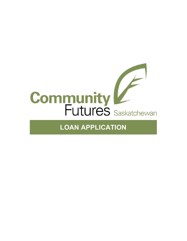

# **LOAN APPLICATION**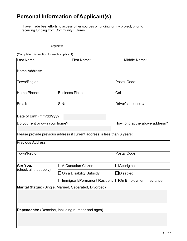### **Personal Information of Applicant(s)**

I have made best efforts to access other sources of funding for my project, prior to receiving funding from Community Futures.

 *Signature* 

(Complete this section for each applicant)

| Last Name:                    | <b>First Name:</b>                                                       | Middle Name:                   |
|-------------------------------|--------------------------------------------------------------------------|--------------------------------|
| Home Address:                 |                                                                          |                                |
| Town/Region:                  |                                                                          | Postal Code:                   |
| Home Phone:                   | <b>Business Phone:</b>                                                   | Cell:                          |
| Email:                        | SIN:                                                                     | Driver's License #:            |
| Date of Birth (mm/dd/yyyy):   |                                                                          |                                |
| Do you rent or own your home? |                                                                          | How long at the above address? |
|                               | Please provide previous address if current address is less than 3 years: |                                |
| <b>Previous Address:</b>      |                                                                          |                                |
| Town/Region:                  |                                                                          | Postal Code:                   |
| Are You:                      | ]A Canadian Citizen                                                      | ]Aboriginal                    |
| (check all that apply)        | On a Disability Subsidy]                                                 | Disabled                       |
|                               | ]Immigrant/Permanent Resident   _On Employment Insurance                 |                                |
|                               | Marital Status: (Single, Married, Separated, Divorced)                   |                                |
|                               |                                                                          |                                |
|                               | <b>Dependents:</b> (Describe, including number and ages)                 |                                |
|                               |                                                                          |                                |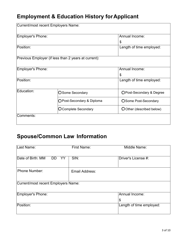# **Employment & Education History for Applicant**

|                            | Current/most recent Employers Name:                  |                           |  |
|----------------------------|------------------------------------------------------|---------------------------|--|
| Employer's Phone:          |                                                      | Annual Income:            |  |
|                            |                                                      | \$                        |  |
| Position:                  |                                                      | Length of time employed:  |  |
|                            |                                                      |                           |  |
|                            | Previous Employer (if less than 2 years at current): |                           |  |
|                            |                                                      |                           |  |
| Employer's Phone:          |                                                      | Annual Income:            |  |
|                            |                                                      | \$                        |  |
| Position:                  |                                                      | Length of time employed:  |  |
|                            |                                                      |                           |  |
| Education:                 | <b>O</b> Some Secondary                              | OPost-Secondary & Degree  |  |
| ○ Post-Secondary & Diploma |                                                      | OSome Post-Secondary      |  |
|                            | <b>OComplete Secondary</b>                           | O Other (described below) |  |
| Comments:                  |                                                      |                           |  |
|                            |                                                      |                           |  |

## **Spouse/Common Law Information**

| Last Name:                           | <b>First Name:</b><br>Middle Name: |                          |  |
|--------------------------------------|------------------------------------|--------------------------|--|
| Date of Birth: MM<br><b>DD</b><br>YY | SIN:<br>Driver's License #:        |                          |  |
| <b>Phone Number:</b>                 | Email Address:                     |                          |  |
| Current/most recent Employers Name:  |                                    |                          |  |
| Employer's Phone:                    |                                    | Annual Income:           |  |
|                                      |                                    | \$                       |  |
| Position:                            |                                    | Length of time employed: |  |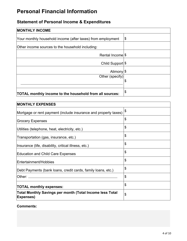## **Personal Financial Information**

### **Statement of Personal Income & Expenditures**

| <b>MONTHLY INCOME</b>                                       |    |
|-------------------------------------------------------------|----|
| Your monthly household income (after taxes) from employment | \$ |
| Other income sources to the household including:            |    |
| Rental Income <sup>9</sup>                                  |    |
| Child Support \$                                            |    |
| Alimony <sup>9</sup>                                        |    |
| Other (specify)                                             | \$ |
|                                                             |    |
| TOTAL monthly income to the household from all sources:     | \$ |

| <b>MONTHLY EXPENSES</b>                                                             |    |
|-------------------------------------------------------------------------------------|----|
| Mortgage or rent payment (include insurance and property taxes)                     | \$ |
| <b>Grocery Expenses</b>                                                             | \$ |
| Utilities (telephone, heat, electricity, etc.)                                      | \$ |
| Transportation (gas, insurance, etc.)                                               | \$ |
| (Insurance (life, disability, critical illness, etc.)                               | \$ |
| <b>Education and Child Care Expenses</b>                                            | \$ |
| Entertainment/Hobbies                                                               | \$ |
| Debt Payments (bank loans, credit cards, family loans, etc.)                        | \$ |
| lOther:                                                                             | \$ |
| <b>TOTAL monthly expenses:</b>                                                      | \$ |
| <b>Total Monthly Savings per month (Total Income less Total</b><br><b>Expenses)</b> | \$ |

#### **Comments:**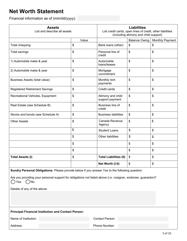### **Net Worth Statement**

Financial information as of (mm/dd/yyyy):

| <b>Assets</b><br>List and describe all assets                                                                                                                                                                                                                    |       | <b>Liabilities</b><br>List credit cards, open lines of credit, other liabilities<br>(including alimony and child support) |                           |                 |  |
|------------------------------------------------------------------------------------------------------------------------------------------------------------------------------------------------------------------------------------------------------------------|-------|---------------------------------------------------------------------------------------------------------------------------|---------------------------|-----------------|--|
|                                                                                                                                                                                                                                                                  | Value |                                                                                                                           | <b>Balance Owing</b>      | Monthly Payment |  |
| <b>Total chequing</b>                                                                                                                                                                                                                                            | \$    | Bank loans (other)                                                                                                        | \$                        | \$              |  |
| Total savings                                                                                                                                                                                                                                                    | \$    | Personal line of<br>credit                                                                                                | \$                        | \$              |  |
| 1) Automobile make & year                                                                                                                                                                                                                                        | \$    | Automobile<br>loans/leases                                                                                                | \$                        | \$              |  |
| 2) Automobile make & year                                                                                                                                                                                                                                        | \$    | Mortgage<br>commitment                                                                                                    | \$                        | \$              |  |
| Business Assets (total value)                                                                                                                                                                                                                                    | \$    | Monthly rent<br>payments                                                                                                  | \$                        | \$              |  |
| <b>Registered Retirement Savings</b>                                                                                                                                                                                                                             | \$    | Credit cards                                                                                                              | \$                        | \$              |  |
| Recreational Vehicles, Equipment                                                                                                                                                                                                                                 | \$    | Alimony and child<br>support payment                                                                                      | \$                        | \$              |  |
| Real Estate (see Schedule B)                                                                                                                                                                                                                                     | \$    | Business line of<br>credit                                                                                                | \$                        | \$              |  |
| Stocks and bonds (see Schedule A)                                                                                                                                                                                                                                | \$    | <b>Business liabilities</b>                                                                                               | \$                        | \$              |  |
| <b>Other Assets</b>                                                                                                                                                                                                                                              | \$    | Canada Revenue<br>Agency                                                                                                  | $\boldsymbol{\mathsf{S}}$ | \$              |  |
|                                                                                                                                                                                                                                                                  | \$    | <b>Student Loans</b>                                                                                                      | \$                        | \$              |  |
|                                                                                                                                                                                                                                                                  | \$    | Other liabilities                                                                                                         | \$                        | \$              |  |
|                                                                                                                                                                                                                                                                  | \$    |                                                                                                                           | \$                        | \$              |  |
|                                                                                                                                                                                                                                                                  | \$    |                                                                                                                           | \$                        | \$              |  |
| <b>Total Assets (I)</b>                                                                                                                                                                                                                                          | \$    | <b>Total Liabilities (II)</b>                                                                                             | \$                        | \$              |  |
|                                                                                                                                                                                                                                                                  |       | Net Worth (I-II)                                                                                                          | \$                        | \$              |  |
| Sundry Personal Obligations: Please provide below if you answer Yes to the following question:<br>Are you providing your personal support for obligations not listed above (i.e. cosigner, endorser, guarantor)?<br>( )No<br>Yes<br>Details of any of the above: |       |                                                                                                                           |                           |                 |  |
|                                                                                                                                                                                                                                                                  |       |                                                                                                                           |                           |                 |  |
| <b>Principal Financial Institution and Contact Person:</b>                                                                                                                                                                                                       |       |                                                                                                                           |                           |                 |  |
| Name of Institution:                                                                                                                                                                                                                                             |       | <b>Contact Person:</b>                                                                                                    |                           |                 |  |
| Phone Number:<br>Address:                                                                                                                                                                                                                                        |       |                                                                                                                           |                           |                 |  |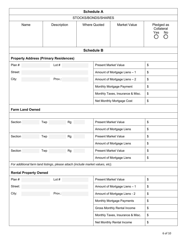|                     | <b>Schedule A</b>            |                                                                                |           |  |                             |                                    |                                       |
|---------------------|------------------------------|--------------------------------------------------------------------------------|-----------|--|-----------------------------|------------------------------------|---------------------------------------|
| STOCKS/BONDS/SHARES |                              |                                                                                |           |  |                             |                                    |                                       |
|                     | Name                         | Description                                                                    |           |  | <b>Where Quoted</b>         | <b>Market Value</b>                | Pledged as<br>Collateral<br>Yes<br>No |
|                     |                              |                                                                                |           |  | <b>Schedule B</b>           |                                    |                                       |
|                     |                              | <b>Property Address (Primary Residences)</b>                                   |           |  |                             |                                    |                                       |
| Plan #              |                              | Lot $#$                                                                        |           |  | <b>Present Market Value</b> |                                    | \$                                    |
| Street:             |                              |                                                                                |           |  |                             | Amount of Mortgage Liens - 1       | \$                                    |
| City:               |                              | Prov.:                                                                         |           |  |                             | Amount of Mortgage Liens - 2       | \$                                    |
|                     |                              |                                                                                |           |  |                             | Monthly Mortgage Payment           | \$                                    |
|                     |                              |                                                                                |           |  |                             | Monthly Taxes, Insurance & Misc.   | \$                                    |
|                     |                              |                                                                                |           |  |                             | Net Monthly Mortgage Cost          | \$                                    |
|                     | <b>Farm Land Owned</b>       |                                                                                |           |  |                             |                                    |                                       |
|                     |                              |                                                                                |           |  |                             |                                    |                                       |
| Section             |                              | Twp                                                                            | <b>Rg</b> |  | <b>Present Market Value</b> |                                    | \$                                    |
|                     |                              |                                                                                |           |  |                             | Amount of Mortgage Liens           | \$                                    |
| Section             |                              | Twp                                                                            | Rg        |  | <b>Present Market Value</b> |                                    | \$                                    |
|                     |                              |                                                                                |           |  |                             | Amount of Mortgage Liens           | \$                                    |
| Section             |                              | Twp                                                                            | <b>Rg</b> |  | <b>Present Market Value</b> |                                    | \$                                    |
|                     |                              |                                                                                |           |  |                             | Amount of Mortgage Liens           | \$                                    |
|                     |                              | For additional farm land listings, please attach (include market values, etc). |           |  |                             |                                    |                                       |
|                     | <b>Rental Property Owned</b> |                                                                                |           |  |                             |                                    |                                       |
| Plan #              |                              | Lot $#$                                                                        |           |  | <b>Present Market Value</b> |                                    | \$                                    |
| Street:             |                              |                                                                                |           |  |                             | Amount of Mortgage Liens - 1       | \$                                    |
| City:               |                              | Prov.:                                                                         |           |  |                             | Amount of Mortgage Liens - 2       | \$                                    |
|                     |                              |                                                                                |           |  |                             | Monthly Mortgage Payments          | \$                                    |
|                     |                              |                                                                                |           |  |                             | <b>Gross Monthly Rental Income</b> | \$                                    |
|                     |                              |                                                                                |           |  |                             | Monthly Taxes, Insurance & Misc.   | \$                                    |
|                     |                              |                                                                                |           |  |                             | Net Monthly Rental Income          | \$                                    |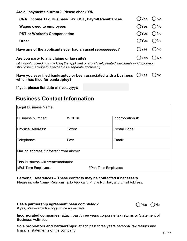**Are all payments current? Please check Y/N**

| <b>CRA: Income Tax, Business Tax, GST, Payroll Remittances</b>                                                                                            | $\bigcap$ Yes              | $\bigcirc$ No |
|-----------------------------------------------------------------------------------------------------------------------------------------------------------|----------------------------|---------------|
| <b>Wages owed to employees</b>                                                                                                                            | $OYes$ $ONo$               |               |
| <b>PST or Worker's Compensation</b>                                                                                                                       | $\bigcap$ Yes              | $\bigcirc$ No |
| <b>Other</b>                                                                                                                                              | $\bigcap$ Yes $\bigcap$ No |               |
| Have any of the applicants ever had an asset repossessed?                                                                                                 | $OYes$ $ONo$               |               |
| Are you party to any claims or lawsuits?                                                                                                                  | $OYes$ $ONo$               |               |
| Litigation/proceedings involving the applicant or any closely related individuals or Corporation<br>should be mentioned (attached as a separate document) |                            |               |
| Have you ever filed bankruptcy or been associated with a business $\bigcirc$ Yes<br>which has filed for bankruptcy?                                       |                            | ( )No         |
|                                                                                                                                                           |                            |               |

**If yes, please list date** (mm/dd/yyyy)**:** 

### **Business Contact Information**

| Legal Business Name:                                |            |  |                  |  |  |
|-----------------------------------------------------|------------|--|------------------|--|--|
| <b>Business Number:</b>                             | $WCB \#$ : |  | Incorporation #: |  |  |
| Physical Address:                                   | Town:      |  | Postal Code:     |  |  |
| Telephone:                                          | Fax:       |  | Email:           |  |  |
| Mailing address if different from above:            |            |  |                  |  |  |
| This Business will create/maintain:                 |            |  |                  |  |  |
| #Full Time Employees<br><b>#Part Time Employees</b> |            |  |                  |  |  |

#### **Personal References – These contacts may be contacted if necessary**

Please include Name, Relationship to Applicant, Phone Number, and Email Address.

#### Has a partnership agreement been completed? <br>
Some  $\bigcap$  Yes  $\bigcap$  No



*If yes, please attach a copy of the agreement.* 

**Incorporated companies:** attach past three years corporate tax returns or Statement of Business Activities

**Sole proprietors and Partnerships:** attach past three years personal tax returns and financial statements of the company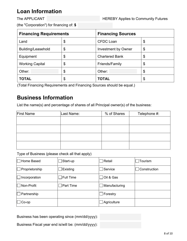## **Loan Information**

(the "Corporation") for financing of: **\$**

| <b>Financing Requirements</b> |    | <b>Financing Sources</b>   |    |  |
|-------------------------------|----|----------------------------|----|--|
| Land                          | \$ | <b>CFDC Loan</b>           | \$ |  |
| Building/Leasehold            | \$ | <b>Investment by Owner</b> | \$ |  |
| Equipment                     | \$ | <b>Chartered Bank</b>      | \$ |  |
| <b>Working Capital</b>        | \$ | Friends/Family             | \$ |  |
| Other:                        | \$ | Other:                     | \$ |  |
| <b>TOTAL</b>                  | \$ | <b>TOTAL</b>               | \$ |  |

(Total Financing Requirements and Financing Sources should be equal.)

### **Business Information**

List the name(s) and percentage of shares of all Principal owner(s) of the business:

| <b>First Name</b> | Last Name: | % of Shares | Telephone #: |
|-------------------|------------|-------------|--------------|
|                   |            |             |              |
|                   |            |             |              |
|                   |            |             |              |
|                   |            |             |              |
|                   |            |             |              |

#### Type of Business (please check all that apply)

| Home Based     | $\Box$ Start-up  | Retail        | Tourism      |
|----------------|------------------|---------------|--------------|
| Proprietorship | Existing         | Service       | Construction |
| Incorporation  | $\Box$ Full Time | Oil & Gas     |              |
| Non-Profit     | Part Time        | Manufacturing |              |
| Partnership    |                  | Forestry      |              |
| $Co$ -op       |                  | Agriculture   |              |

Business has been operating since (mm/dd/yyyy):

Business Fiscal year end is/will be: (mm/dd/yyyy):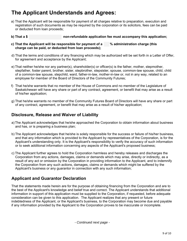### **The Applicant Understands and Agrees:**

- a) That the Applicant will be responsible for payment of all charges relative to preparation, execution and registration of such documents as may be required by the corporation or its solicitors, fees can be paid or deducted from loan proceeds;
- **b) That a \$ non-refundable application fee must accompany this application;**
- **c) That the Applicant will be responsible for payment of a % administration charge (this charge can be paid, or deducted from loan proceeds);**
- d) That the terms and conditions of any financing which may be authorized will be set forth in a Letter of Offer, for agreement and acceptance by the Applicant;
- e) That neither he/she nor any partner(s), shareholder(s) or officer(s) is the father, mother, stepmother, stepfather, foster parent, brother, sister, stepbrother, stepsister, spouse, common-law spouse, child, child of a common-law spouse, stepchild, ward, father-in-law, mother-in-law or, not in any way, related to an employee for member of the Board of Directors of the Community Futures;
- f) That he/she warrants that no member of the House of Commons and no member of the Legislature of Saskatchewan will have any share or part of any contract, agreement, or benefit that may arise as a result of his/her application;
- g) That he/she warrants no member of the Community Futures Board of Directors will have any share or part of any contract, agreement, or benefit that may arise as a result of his/her application;

### **Disclosure, Release and Waiver of Liability**

- a) The Applicant acknowledges that he/she approached the Corporation to obtain information about business and has, or is preparing a business plan;
- b) The Applicant acknowledges that he/she is solely responsible for the success or failure of his/her business, and that any information which is provided to the Applicant by representatives of the Corporation, is for the Applicant's understanding only. It is the Applicant's responsibility to verify the accuracy of such information or to seek additional information concerning any aspects of the Applicant's proposed business;
- c) The Applicant further agrees to hold the Corporation harmless and hereby releases and discharges the Corporation from any actions, damages, claims or demands which may arise, directly or indirectly, as a result of any act or omission by the Corporation in providing information to the Applicant, and to indemnify the Corporation from any such actions, damages, claims or demands which might be suffered by the Applicant's business or any guarantor in connection with any such information;

### **Applicant and Guarantor Declaration**

That the statements made herein are for the purpose of obtaining financing from the Corporation and are to the best of the Applicant's knowledge and belief true and correct. The Applicant understands that additional information in support of this application must be supplied to the Corporation, if requested, before adequate consideration can be given to this application. The Applicant realizes that any present or future indebtedness of the Applicant, or the Applicant's business, to the Corporation may become due and payable if any information provided by the Applicant to the Corporation proves to be inaccurate or incomplete.